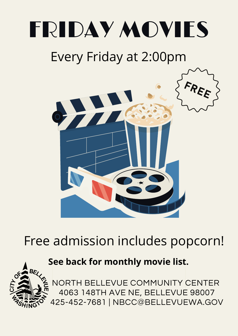# FRIDAY MOVIES

# Every Friday at 2:00pm



# Free admission includes popcorn!

# **See back for monthly movie list.**



NORTH BELLEVUE COMMUNITY CENTER 4063 148TH AVE NE, BELLEVUE 98007 425-452-7681 | NBCC@BELLEVUEWA.GOV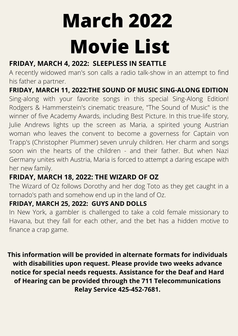# **March 2022 Movie List**

## **FRIDAY, MARCH 4, 2022: SLEEPLESS IN SEATTLE**

A recently widowed man's son calls a radio talk-show in an attempt to find his father a partner.

**FRIDAY, MARCH 11, 2022:THE SOUND OF MUSIC SING-ALONG EDITION**

Sing-along with your favorite songs in this special Sing-Along Edition! Rodgers & Hammerstein's cinematic treasure, "The Sound of Music" is the winner of five Academy Awards, including Best Picture. In this true-life story, Julie Andrews lights up the screen as Maria, a spirited young Austrian woman who leaves the convent to become a governess for Captain von Trapp's (Christopher Plummer) seven unruly children. Her charm and songs soon win the hearts of the children - and their father. But when Nazi Germany unites with Austria, Maria is forced to attempt a daring escape with her new family.

### **FRIDAY, MARCH 18, 2022: THE WIZARD OF OZ**

The Wizard of Oz follows Dorothy and her dog Toto as they get caught in a tornado's path and somehow end up in the land of Oz.

#### **FRIDAY, MARCH 25, 2022: GUYS AND DOLLS**

In New York, a gambler is challenged to take a cold female missionary to Havana, but they fall for each other, and the bet has a hidden motive to finance a crap game.

**This information will be provided in alternate formats for individuals with disabilities upon request. Please provide two weeks advance notice for special needs requests. Assistance for the Deaf and Hard of Hearing can be provided through the 711 Telecommunications Relay Service 425-452-7681.**